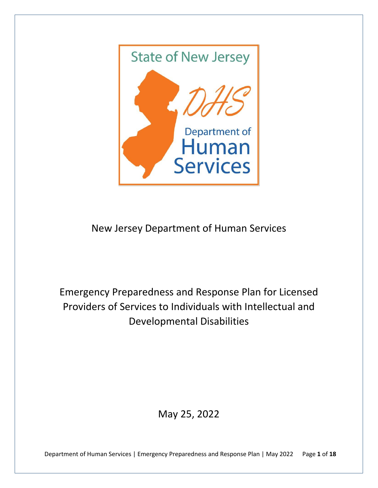

# New Jersey Department of Human Services

Emergency Preparedness and Response Plan for Licensed Providers of Services to Individuals with Intellectual and Developmental Disabilities

May 25, 2022

Department of Human Services | Emergency Preparedness and Response Plan | May 2022 Page **1** of **18**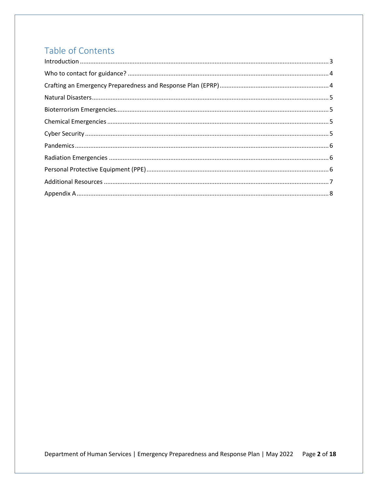# Table of Contents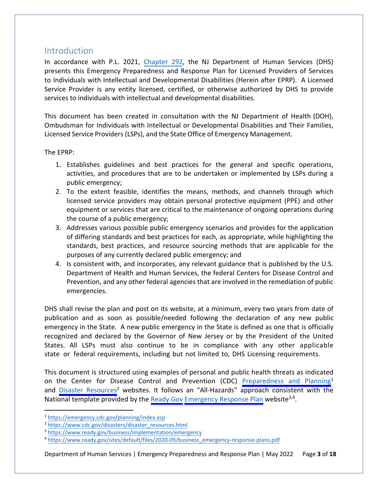#### <span id="page-2-0"></span>**Introduction**

In accordance with P.L. 2021[, Chapter 292,](https://pub.njleg.state.nj.us/Bills/2020/PL21/292_.PDF) the NJ Department of Human Services (DHS) presents this Emergency Preparedness and Response Plan for Licensed Providers of Services to Individuals with Intellectual and Developmental Disabilities (Herein after EPRP). A Licensed Service Provider is any entity licensed, certified, or otherwise authorized by DHS to provide services to individuals with intellectual and developmental disabilities.

This document has been created in consultation with the NJ Department of Health (DOH), Ombudsman for Individuals with Intellectual or Developmental Disabilities and Their Families, Licensed Service Providers (LSPs), and the State Office of Emergency Management.

The EPRP:

- 1. Establishes guidelines and best practices for the general and specific operations, activities, and procedures that are to be undertaken or implemented by LSPs during a public emergency;
- 2. To the extent feasible, identifies the means, methods, and channels through which licensed service providers may obtain personal protective equipment (PPE) and other equipment or services that are critical to the maintenance of ongoing operations during the course of a public emergency;
- 3. Addresses various possible public emergency scenarios and provides for the application of differing standards and best practices for each, as appropriate, while highlighting the standards, best practices, and resource sourcing methods that are applicable for the purposes of any currently declared public emergency; and
- 4. Is consistent with, and incorporates, any relevant guidance that is published by the U.S. Department of Health and Human Services, the federal Centers for Disease Control and Prevention, and any other federal agencies that are involved in the remediation of public emergencies.

DHS shall revise the plan and post on its website, at a minimum, every two years from date of publication and as soon as possible/needed following the declaration of any new public emergency in the State. A new public emergency in the State is defined as one that is officially recognized and declared by the Governor of New Jersey or by the President of the United States. All LSPs must also continue to be in compliance with any other applicable state or federal requirements, including but not limited to, DHS Licensing requirements.

This document is structured using examples of personal and public health threats as indicated on the Center for Disease Control and Prevention (CDC) [Preparedness](https://emergency.cdc.gov/planning/index.asp) and [Planning](https://www.cdc.gov/disasters/disaster_resources.html)<sup>[1](https://emergency.cdc.gov/planning/index.asp)</sup> and [Disast](https://www.cdc.gov/disasters/disaster_resources.html)er [Resources](https://www.cdc.gov/disasters/disaster_resources.html)<sup>[2](#page-2-2)</sup> websites. It follows an "All-Hazards" approach consistent with the National template provided by the Ready. Gov [Emergency Response Plan](https://www.ready.gov/sites/default/files/2020-09/business_emergency-response-plans.pdf) website<sup>[3,](#page-2-3)[4](#page-2-4)</sup>.

Department of Human Services | Emergency Preparedness and Response Plan | May 2022 Page **3** of **18**

<span id="page-2-1"></span><sup>1</sup> <https://emergency.cdc.gov/planning/index.asp>

<span id="page-2-2"></span><sup>2</sup> [https://www.cdc.gov/disasters/disaster\\_resources.html](https://www.cdc.gov/disasters/disaster_resources.html) 

<span id="page-2-3"></span><sup>3</sup> <https://www.ready.gov/business/implementation/emergency>

<span id="page-2-4"></span><sup>4</sup> [https://www.ready.gov/sites/default/files/2020-09/business\\_emergency-response-plans.pdf](https://www.ready.gov/sites/default/files/2020-09/business_emergency-response-plans.pdf)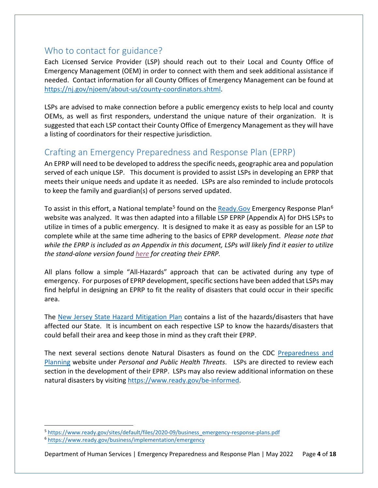### <span id="page-3-0"></span>Who to contact for guidance?

Each Licensed Service Provider (LSP) should reach out to their Local and County Office of Emergency Management (OEM) in order to connect with them and seek additional assistance if needed. Contact information for all County Offices of Emergency Management can be found at [https://nj.gov/njoem/about-us/county-coordinators.shtml.](https://nj.gov/njoem/about-us/county-coordinators.shtml)

LSPs are advised to make connection before a public emergency exists to help local and county OEMs, as well as first responders, understand the unique nature of their organization. It is suggested that each LSP contact their County Office of Emergency Management as they will have a listing of coordinators for their respective jurisdiction.

### <span id="page-3-1"></span>Crafting an Emergency Preparedness and Response Plan (EPRP)

An EPRP will need to be developed to address the specific needs, geographic area and population served of each unique LSP. This document is provided to assist LSPs in developing an EPRP that meets their unique needs and update it as needed. LSPs are also reminded to include protocols to keep the family and guardian(s) of persons served updated.

To assist in this effort, a National template<sup>[5](#page-3-2)</sup> found on the Ready. Gov Emergency Response Plan<sup>[6](#page-3-3)</sup> website was analyzed. It was then adapted into a fillable LSP EPRP (Appendix A) for DHS LSPs to utilize in times of a public emergency. It is designed to make it as easy as possible for an LSP to complete while at the same time adhering to the basics of EPRP development. *Please note that while the EPRP is included as an Appendix in this document, LSPs will likely find it easier to utilize the stand-alone version found [here](https://www.state.nj.us/humanservices/ddd/documents/2022-5-5-ERP-Fillable-PDF.pdf) for creating their EPRP.* 

All plans follow a simple "All-Hazards" approach that can be activated during any type of emergency. For purposes of EPRP development, specific sections have been added that LSPs may find helpful in designing an EPRP to fit the reality of disasters that could occur in their specific area.

The [New Jersey State Hazard Mitigation Plan](https://nj.gov/njoem/mitigation/2019-mitigation-plan.shtml) contains a list of the hazards/disasters that have affected our State. It is incumbent on each respective LSP to know the hazards/disasters that could befall their area and keep those in mind as they craft their EPRP.

The next several sections denote Natural Disasters as found on the CDC [Preparedness and](https://emergency.cdc.gov/planning/index.asp)  [Planning](https://emergency.cdc.gov/planning/index.asp) website under *Personal and Public Health Threats*. LSPs are directed to review each section in the development of their EPRP. LSPs may also review additional information on these natural disasters by visiting [https://www.ready.gov/be-informed.](https://www.ready.gov/be-informed)

<span id="page-3-2"></span><sup>5</sup> [https://www.ready.gov/sites/default/files/2020-09/business\\_emergency-response-plans.pdf](https://www.ready.gov/sites/default/files/2020-09/business_emergency-response-plans.pdf)

<span id="page-3-3"></span><sup>6</sup> <https://www.ready.gov/business/implementation/emergency>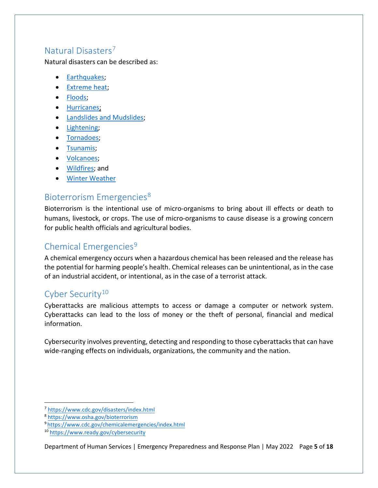#### <span id="page-4-0"></span>Natural Disasters[7](#page-4-4)

Natural disasters can be described as:

- [Earthquakes;](https://www.cdc.gov/disasters/earthquakes/index.html)
- [Extreme heat;](https://www.cdc.gov/disasters/extremeheat/index.html)
- [Floods;](https://www.cdc.gov/disasters/floods/index.html)
- [Hurricanes;](https://www.cdc.gov/disasters/hurricanes/index.html)
- [Landslides and Mudslides;](https://www.cdc.gov/disasters/landslides.html)
- [Lightening;](https://www.cdc.gov/disasters/lightning/index.html)
- [Tornadoes;](https://www.cdc.gov/disasters/tornadoes/index.html)
- [Tsunamis;](https://www.cdc.gov/disasters/tsunamis/index.html)
- [Volcanoes;](https://www.cdc.gov/disasters/volcanoes/index.html)
- [Wildfires;](https://www.cdc.gov/disasters/wildfires/index.html) and
- [Winter Weather](https://www.cdc.gov/disasters/winter/index.html)

### <span id="page-4-1"></span>Bioterrorism Emergencies<sup>[8](#page-4-5)</sup>

Bioterrorism is the intentional use of micro-organisms to bring about ill effects or death to humans, livestock, or crops. The use of micro-organisms to cause disease is a growing concern for public health officials and agricultural bodies.

## <span id="page-4-2"></span>Chemical Emergencies<sup>[9](#page-4-6)</sup>

A chemical emergency occurs when a hazardous chemical has been released and the release has the potential for harming people's health. Chemical releases can be unintentional, as in the case of an industrial accident, or intentional, as in the case of a terrorist attack.

### <span id="page-4-3"></span>Cyber Security<sup>[10](#page-4-7)</sup>

Cyberattacks are malicious attempts to access or damage a computer or network system. Cyberattacks can lead to the loss of money or the theft of personal, financial and medical information.

Cybersecurity involves preventing, detecting and responding to those cyberattacks that can have wide-ranging effects on individuals, organizations, the community and the nation.

<span id="page-4-7"></span>Department of Human Services | Emergency Preparedness and Response Plan | May 2022 Page **5** of **18**

<span id="page-4-4"></span><sup>7</sup> <https://www.cdc.gov/disasters/index.html>

<span id="page-4-5"></span><sup>8</sup> <https://www.osha.gov/bioterrorism>

<span id="page-4-6"></span><sup>9</sup> https://[www.cdc.gov/chemicalemergencies/index.html](https://emergency.cdc.gov/chemical/overview.asp#:%7E:text=A%20chemical%20emergency%20occurs%20when,case%20of%20a%20terrorist%20attack)

<sup>10</sup> [https://www.ready.gov/cybersec](https://emergency.cdc.gov/chemical/overview.asp#:%7E:text=A%20chemical%20emergency%20occurs%20when,case%20of%20a%20terrorist%20attack)[urity](https://www.ready.gov/cybersecurity)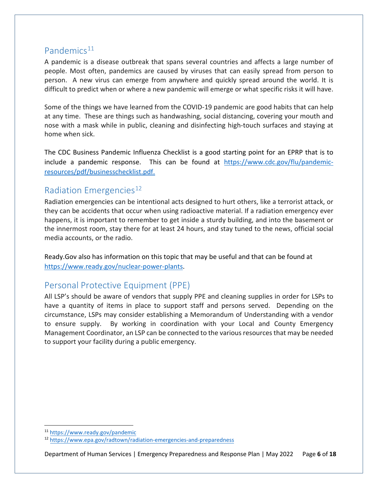#### <span id="page-5-0"></span>Pandemics $11$

A pandemic is a disease outbreak that spans several countries and affects a large number of people. Most often, pandemics are caused by viruses that can easily spread from person to person. A new virus can emerge from anywhere and quickly spread around the world. It is difficult to predict when or where a new pandemic will emerge or what specific risks it will have.

Some of the things we have learned from the COVID-19 pandemic are good habits that can help at any time. These are things such as handwashing, social distancing, covering your mouth and nose with a mask while in public, cleaning and disinfecting high-touch surfaces and staying at home when sick.

The CDC Business Pandemic Influenza Checklist is a good starting point for an EPRP that is to include a pandemic response. This can be found at [https://www.cdc.gov/flu/pandemic](https://www.cdc.gov/flu/pandemic-resources/pdf/businesschecklist.pdf)[resources/pdf/businesschecklist.pdf.](https://www.cdc.gov/flu/pandemic-resources/pdf/businesschecklist.pdf)

### <span id="page-5-1"></span>Radiation Emergencies<sup>[12](#page-5-4)</sup>

Radiation emergencies can be intentional acts designed to hurt others, like a terrorist attack, or they can be accidents that occur when using radioactive material. If a radiation emergency ever happens, it is important to remember to get inside a sturdy building, and into the basement or the innermost room, stay there for at least 24 hours, and stay tuned to the news, official social media accounts, or the radio.

Ready.Gov also has information on this topic that may be useful and that can be found at [https://www.ready.gov/nuclear-power-plants.](https://www.ready.gov/nuclear-power-plants)

### <span id="page-5-2"></span>Personal Protective Equipment (PPE)

All LSP's should be aware of vendors that supply PPE and cleaning supplies in order for LSPs to have a quantity of items in place to support staff and persons served. Depending on the circumstance, LSPs may consider establishing a Memorandum of Understanding with a vendor to ensure supply. By working in coordination with your Local and County Emergency Management Coordinator, an LSP can be connected to the various resources that may be needed to support your facility during a public emergency.

<span id="page-5-3"></span><sup>11</sup> <https://www.ready.gov/pandemic>

<span id="page-5-4"></span><sup>12</sup> <https://www.epa.gov/radtown/radiation-emergencies-and-preparedness>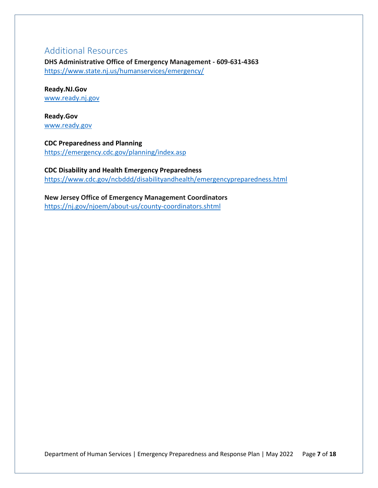### <span id="page-6-0"></span>Additional Resources

**DHS Administrative Office of Emergency Management - 609-631-4363** <https://www.state.nj.us/humanservices/emergency/>

**Ready.NJ.Gov** [www.ready.nj.gov](http://www.ready.nj.gov/)

**Ready.Gov**  [www.ready.gov](http://www.ready.gov/)

**CDC Preparedness and Planning** <https://emergency.cdc.gov/planning/index.asp>

**CDC Disability and Health Emergency Preparedness**  <https://www.cdc.gov/ncbddd/disabilityandhealth/emergencypreparedness.html>

**New Jersey Office of Emergency Management Coordinators**  <https://nj.gov/njoem/about-us/county-coordinators.shtml>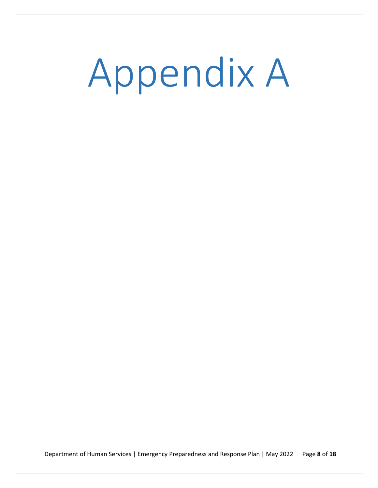<span id="page-7-0"></span>Appendix A

Department of Human Services | Emergency Preparedness and Response Plan | May 2022 Page **8** of **18**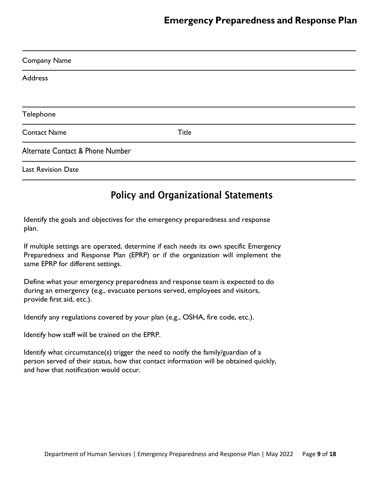| <b>Company Name</b>              |              |  |
|----------------------------------|--------------|--|
| <b>Address</b>                   |              |  |
|                                  |              |  |
| Telephone                        |              |  |
| <b>Contact Name</b>              | <b>Title</b> |  |
| Alternate Contact & Phone Number |              |  |
| <b>Last Revision Date</b>        |              |  |

## Policy and Organizational Statements

Identify the goals and objectives for the emergency preparedness and response plan.

If multiple settings are operated, determine if each needs its own specific Emergency Preparedness and Response Plan (EPRP) or if the organization will implement the same EPRP for different settings.

Define what your emergency preparedness and response team is expected to do during an emergency (e.g., evacuate persons served, employees and visitors, provide first aid, etc.).

Identify any regulations covered by your plan (e.g., OSHA, fire code, etc.).

Identify how staff will be trained on the EPRP.

Identify what circumstance(s) trigger the need to notify the family/guardian of a person served of their status, how that contact information will be obtained quickly, and how that notification would occur.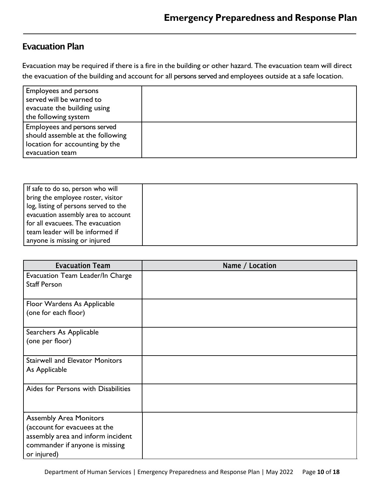## Evacuation Plan

Evacuation may be required if there is a fire in the building or other hazard. The evacuation team will direct the evacuation of the building and account for all persons served and employees outside at a safe location.

| <b>Employees and persons</b><br>served will be warned to<br>evacuate the building using<br>the following system       |  |
|-----------------------------------------------------------------------------------------------------------------------|--|
| Employees and persons served<br>should assemble at the following<br>location for accounting by the<br>evacuation team |  |

| If safe to do so, person who will     |  |
|---------------------------------------|--|
| bring the employee roster, visitor    |  |
| log, listing of persons served to the |  |
| evacuation assembly area to account   |  |
| for all evacuees. The evacuation      |  |
| team leader will be informed if       |  |
| anyone is missing or injured          |  |

| <b>Evacuation Team</b>                                                                                                                              | Name / Location |
|-----------------------------------------------------------------------------------------------------------------------------------------------------|-----------------|
| Evacuation Team Leader/In Charge<br><b>Staff Person</b>                                                                                             |                 |
| Floor Wardens As Applicable<br>(one for each floor)                                                                                                 |                 |
| Searchers As Applicable<br>(one per floor)                                                                                                          |                 |
| <b>Stairwell and Elevator Monitors</b><br>As Applicable                                                                                             |                 |
| Aides for Persons with Disabilities                                                                                                                 |                 |
| <b>Assembly Area Monitors</b><br>(account for evacuees at the<br>assembly area and inform incident<br>commander if anyone is missing<br>or injured) |                 |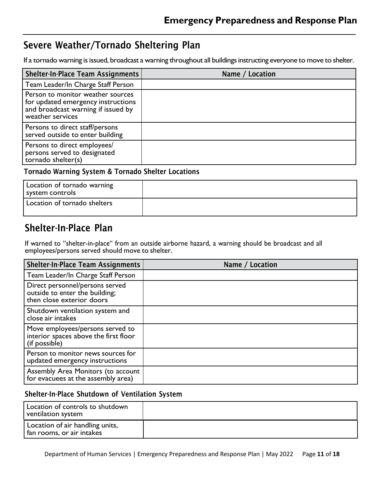## Severe Weather/Tornado Sheltering Plan

If a tornado warning is issued, broadcast a warning throughout all buildings instructing everyone to move to shelter.

| Shelter-In-Place Team Assignments                                                                                                 | Name / Location |
|-----------------------------------------------------------------------------------------------------------------------------------|-----------------|
| Team Leader/In Charge Staff Person                                                                                                |                 |
| Person to monitor weather sources<br>for updated emergency instructions<br>and broadcast warning if issued by<br>weather services |                 |
| Persons to direct staff/persons<br>served outside to enter building                                                               |                 |
| Persons to direct employees/<br>persons served to designated<br>tornado shelter(s)                                                |                 |

#### Tornado Warning System & Tornado Shelter Locations

| Location of tornado warning<br>system controls |  |
|------------------------------------------------|--|
| Location of tornado shelters                   |  |

## Shelter-In-Place Plan

If warned to "shelter-in-place" from an outside airborne hazard, a warning should be broadcast and all employees/persons served should move to shelter.

| <b>Shelter-In-Place Team Assignments</b>                                                       | Name / Location |
|------------------------------------------------------------------------------------------------|-----------------|
| Team Leader/In Charge Staff Person                                                             |                 |
| Direct personnel/persons served<br>outside to enter the building;<br>then close exterior doors |                 |
| Shutdown ventilation system and<br>close air intakes                                           |                 |
| Move employees/persons served to<br>interior spaces above the first floor<br>(if possible)     |                 |
| Person to monitor news sources for<br>updated emergency instructions                           |                 |
| Assembly Area Monitors (to account<br>for evacuees at the assembly area)                       |                 |

#### Shelter-In-Place Shutdown of Ventilation System

| Location of controls to shutdown<br>ventilation system         |  |
|----------------------------------------------------------------|--|
| Location of air handling units,<br>  fan rooms, or air intakes |  |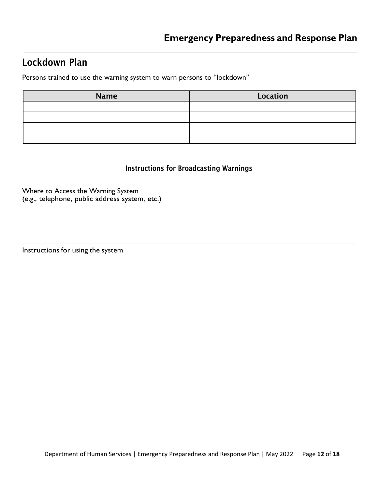## Lockdown Plan

Persons trained to use the warning system to warn persons to "lockdown"

| <b>Name</b> | <b>Location</b> |
|-------------|-----------------|
|             |                 |
|             |                 |
|             |                 |
|             |                 |

#### Instructions for Broadcasting Warnings

Where to Access the Warning System (e.g., telephone, public address system, etc.)

```
Instructions for using the system
```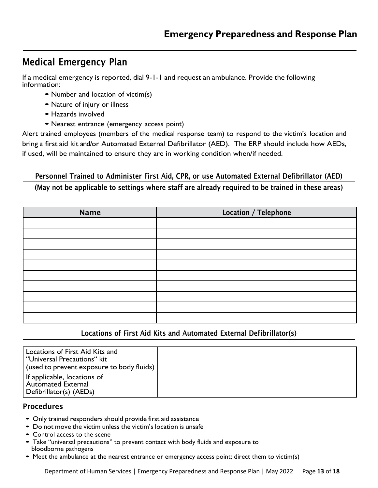## Medical Emergency Plan

If a medical emergency is reported, dial 9-1-1 and request an ambulance. Provide the following information:

- Number and location of victim(s)
- Nature of injury or illness
- Hazards involved
- Nearest entrance (emergency access point)

Alert trained employees (members of the medical response team) to respond to the victim's location and bring a first aid kit and/or Automated External Defibrillator (AED). The ERP should include how AEDs, if used, will be maintained to ensure they are in working condition when/if needed.

#### Personnel Trained to Administer First Aid, CPR, or use Automated External Defibrillator (AED) (May not be applicable to settings where staff are already required to be trained in these areas)

| <b>Name</b> | Location / Telephone |
|-------------|----------------------|
|             |                      |
|             |                      |
|             |                      |
|             |                      |
|             |                      |
|             |                      |
|             |                      |
|             |                      |
|             |                      |
|             |                      |

#### Locations of First Aid Kits and Automated External Defibrillator(s)

| Locations of First Aid Kits and<br>l "Universal Precautions" kit<br>(used to prevent exposure to body fluids) |  |
|---------------------------------------------------------------------------------------------------------------|--|
| If applicable, locations of<br>Automated External<br>Defibrillator(s) (AEDs)                                  |  |

#### **Procedures**

- Only trained responders should provide first aid assistance
- Do not move the victim unless the victim's location is unsafe
- Control access to the scene
- Take "universal precautions" to prevent contact with body fluids and exposure to bloodborne pathogens
- Meet the ambulance at the nearest entrance or emergency access point; direct them to victim(s)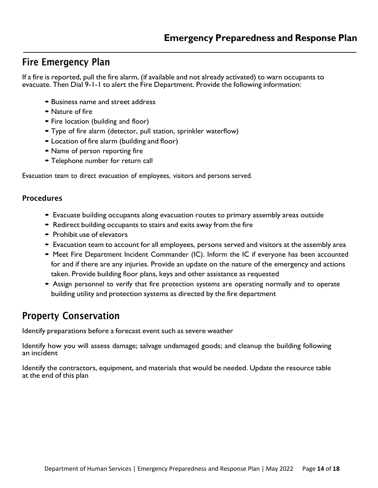## Fire Emergency Plan

If a fire is reported, pull the fire alarm, (if available and not already activated) to warn occupants to evacuate. Then Dial 9-1-1 to alert the Fire Department. Provide the following information:

- Business name and street address
- Nature of fire
- Fire location (building and floor)
- Type of fire alarm (detector, pull station, sprinkler waterflow)
- Location of fire alarm (building and floor)
- Name of person reporting fire
- Telephone number for return call

Evacuation team to direct evacuation of employees, visitors and persons served.

#### Procedures

- Evacuate building occupants along evacuation routes to primary assembly areas outside
- Redirect building occupants to stairs and exits away from the fire
- Prohibit use of elevators
- Evacuation team to account for all employees, persons served and visitors at the assembly area
- Meet Fire Department Incident Commander (IC). Inform the IC if everyone has been accounted for and if there are any injuries. Provide an update on the nature of the emergency and actions taken. Provide building floor plans, keys and other assistance as requested
- Assign personnel to verify that fire protection systems are operating normally and to operate building utility and protection systems as directed by the fire department

# Property Conservation

Identify preparations before a forecast event such as severe weather

Identify how you will assess damage; salvage undamaged goods; and cleanup the building following an incident

Identify the contractors, equipment, and materials that would be needed. Update the resource table at the end of this plan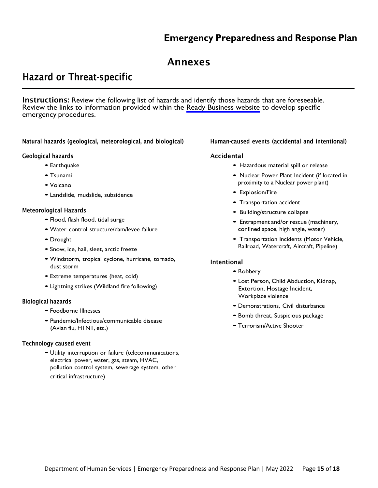## **Emergency Preparedness and Response Plan**

### Annexes

## Hazard or Threat-specific

Instructions: Review the following list of hazards and identify those hazards that are foreseeable. Review the links to information provided within the [Ready Business website](https://www.ready.gov/be-informed) to develop specific emergency procedures.

Natural hazards (geological, meteorological, and biological)

#### Geological hazards

- Earthquake
- Tsunami
- Volcano
- Landslide, mudslide, subsidence

#### Meteorological Hazards

- Flood, flash flood, tidal surge
- •Water control structure/dam/levee failure
- Drought
- Snow, ice, hail, sleet, arctic freeze
- •Windstorm, tropical cyclone, hurricane, tornado, dust storm
- Extreme temperatures (heat, cold)
- Lightning strikes (Wildland fire following)

#### Biological hazards

- Foodborne Illnesses
- Pandemic/Infectious/communicable disease (Avian flu, H1N1, etc.)

#### Technology caused event

• Utility interruption or failure (telecommunications, electrical power, water, gas, steam, HVAC, pollution control system, sewerage system, other critical infrastructure)

#### Human-caused events (accidental and intentional)

#### Accidental

- Hazardous material spill or release
- Nuclear Power Plant Incident (if located in proximity to a Nuclear power plant)
- Explosion/Fire
- Transportation accident
- Building/structure collapse
- Entrapment and/or rescue (machinery, confined space, high angle, water)
- Transportation Incidents (Motor Vehicle, Railroad, Watercraft, Aircraft, Pipeline)

#### Intentional

- Robbery
- Lost Person, Child Abduction, Kidnap, Extortion, Hostage Incident, Workplace violence
- Demonstrations, Civil disturbance
- Bomb threat, Suspicious package
- Terrorism/Active Shooter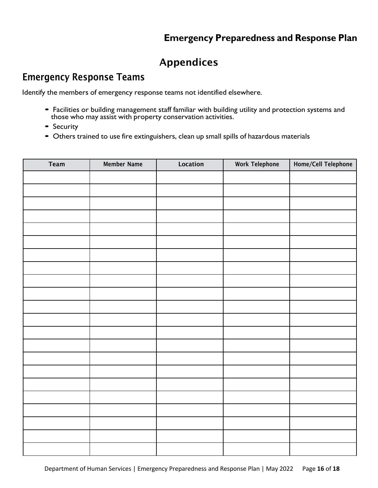# Appendices

## Emergency Response Teams

Identify the members of emergency response teams not identified elsewhere.

- Facilities or building management staff familiar with building utility and protection systems and those who may assist with property conservation activities.
- Security
- Others trained to use fire extinguishers, clean up small spills of hazardous materials

| Team | <b>Member Name</b> | Location | <b>Work Telephone</b> | Home/Cell Telephone |
|------|--------------------|----------|-----------------------|---------------------|
|      |                    |          |                       |                     |
|      |                    |          |                       |                     |
|      |                    |          |                       |                     |
|      |                    |          |                       |                     |
|      |                    |          |                       |                     |
|      |                    |          |                       |                     |
|      |                    |          |                       |                     |
|      |                    |          |                       |                     |
|      |                    |          |                       |                     |
|      |                    |          |                       |                     |
|      |                    |          |                       |                     |
|      |                    |          |                       |                     |
|      |                    |          |                       |                     |
|      |                    |          |                       |                     |
|      |                    |          |                       |                     |
|      |                    |          |                       |                     |
|      |                    |          |                       |                     |
|      |                    |          |                       |                     |
|      |                    |          |                       |                     |
|      |                    |          |                       |                     |
|      |                    |          |                       |                     |
|      |                    |          |                       |                     |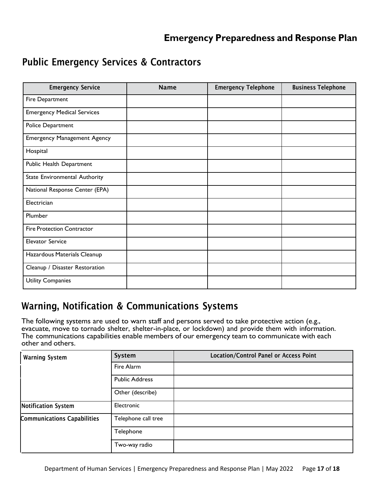## **Emergency Preparedness and Response Plan**

## Public Emergency Services & Contractors

| <b>Emergency Service</b>           | <b>Name</b> | <b>Emergency Telephone</b> | <b>Business Telephone</b> |
|------------------------------------|-------------|----------------------------|---------------------------|
| Fire Department                    |             |                            |                           |
| <b>Emergency Medical Services</b>  |             |                            |                           |
| Police Department                  |             |                            |                           |
| <b>Emergency Management Agency</b> |             |                            |                           |
| Hospital                           |             |                            |                           |
| Public Health Department           |             |                            |                           |
| State Environmental Authority      |             |                            |                           |
| National Response Center (EPA)     |             |                            |                           |
| Electrician                        |             |                            |                           |
| Plumber                            |             |                            |                           |
| <b>Fire Protection Contractor</b>  |             |                            |                           |
| <b>Elevator Service</b>            |             |                            |                           |
| Hazardous Materials Cleanup        |             |                            |                           |
| Cleanup / Disaster Restoration     |             |                            |                           |
| Utility Companies                  |             |                            |                           |

## Warning, Notification & Communications Systems

The following systems are used to warn staff and persons served to take protective action (e.g., evacuate, move to tornado shelter, shelter-in-place, or lockdown) and provide them with information. The communications capabilities enable members of our emergency team to communicate with each other and others.

| <b>Warning System</b>              | System                | <b>Location/Control Panel or Access Point</b> |
|------------------------------------|-----------------------|-----------------------------------------------|
|                                    | Fire Alarm            |                                               |
|                                    | <b>Public Address</b> |                                               |
|                                    | Other (describe)      |                                               |
| <b>Notification System</b>         | Electronic            |                                               |
| <b>Communications Capabilities</b> | Telephone call tree   |                                               |
|                                    | Telephone             |                                               |
|                                    | Two-way radio         |                                               |